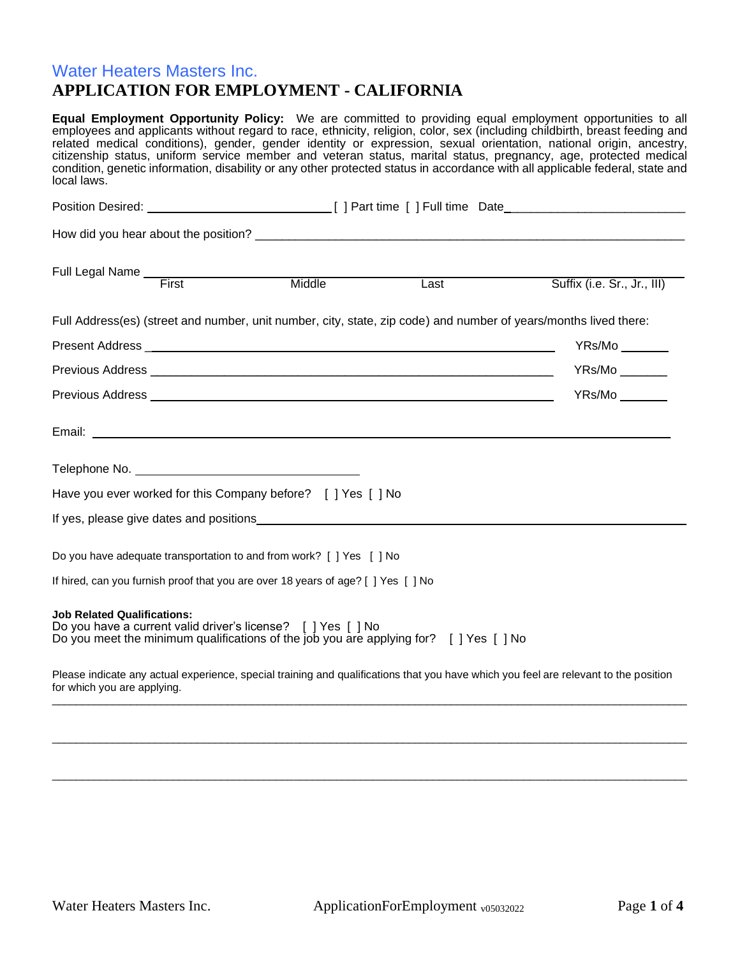# Water Heaters Masters Inc. **APPLICATION FOR EMPLOYMENT - CALIFORNIA**

| local laws.                                                                                                                                                                                |  | Equal Employment Opportunity Policy: We are committed to providing equal employment opportunities to all<br>employees and applicants without regard to race, ethnicity, religion, color, sex (including childbirth, breast feeding and<br>related medical conditions), gender, gender identity or expression, sexual orientation, national origin, ancestry,<br>citizenship status, uniform service member and veteran status, marital status, pregnancy, age, protected medical<br>condition, genetic information, disability or any other protected status in accordance with all applicable federal, state and |
|--------------------------------------------------------------------------------------------------------------------------------------------------------------------------------------------|--|-------------------------------------------------------------------------------------------------------------------------------------------------------------------------------------------------------------------------------------------------------------------------------------------------------------------------------------------------------------------------------------------------------------------------------------------------------------------------------------------------------------------------------------------------------------------------------------------------------------------|
|                                                                                                                                                                                            |  | Position Desired: 1990 [1] Part time [1] Full time Date                                                                                                                                                                                                                                                                                                                                                                                                                                                                                                                                                           |
|                                                                                                                                                                                            |  |                                                                                                                                                                                                                                                                                                                                                                                                                                                                                                                                                                                                                   |
| Full Legal Name Tirst Middle Month Mass                                                                                                                                                    |  | Suffix (i.e. Sr., Jr., III)                                                                                                                                                                                                                                                                                                                                                                                                                                                                                                                                                                                       |
|                                                                                                                                                                                            |  |                                                                                                                                                                                                                                                                                                                                                                                                                                                                                                                                                                                                                   |
| Full Address(es) (street and number, unit number, city, state, zip code) and number of years/months lived there:                                                                           |  |                                                                                                                                                                                                                                                                                                                                                                                                                                                                                                                                                                                                                   |
|                                                                                                                                                                                            |  |                                                                                                                                                                                                                                                                                                                                                                                                                                                                                                                                                                                                                   |
|                                                                                                                                                                                            |  |                                                                                                                                                                                                                                                                                                                                                                                                                                                                                                                                                                                                                   |
|                                                                                                                                                                                            |  | YRs/Mo                                                                                                                                                                                                                                                                                                                                                                                                                                                                                                                                                                                                            |
|                                                                                                                                                                                            |  |                                                                                                                                                                                                                                                                                                                                                                                                                                                                                                                                                                                                                   |
|                                                                                                                                                                                            |  |                                                                                                                                                                                                                                                                                                                                                                                                                                                                                                                                                                                                                   |
| Have you ever worked for this Company before? [ ] Yes [ ] No                                                                                                                               |  |                                                                                                                                                                                                                                                                                                                                                                                                                                                                                                                                                                                                                   |
|                                                                                                                                                                                            |  |                                                                                                                                                                                                                                                                                                                                                                                                                                                                                                                                                                                                                   |
| Do you have adequate transportation to and from work? [ ] Yes [ ] No                                                                                                                       |  |                                                                                                                                                                                                                                                                                                                                                                                                                                                                                                                                                                                                                   |
| If hired, can you furnish proof that you are over 18 years of age? [ ] Yes [ ] No                                                                                                          |  |                                                                                                                                                                                                                                                                                                                                                                                                                                                                                                                                                                                                                   |
| <b>Job Related Qualifications:</b><br>Do you have a current valid driver's license? [ ] Yes [ ] No<br>Do you meet the minimum qualifications of the job you are applying for? [] Yes [] No |  |                                                                                                                                                                                                                                                                                                                                                                                                                                                                                                                                                                                                                   |
| Please indicate any actual experience, special training and qualifications that you have which you feel are relevant to the position<br>for which you are applying.                        |  |                                                                                                                                                                                                                                                                                                                                                                                                                                                                                                                                                                                                                   |

\_\_\_\_\_\_\_\_\_\_\_\_\_\_\_\_\_\_\_\_\_\_\_\_\_\_\_\_\_\_\_\_\_\_\_\_\_\_\_\_\_\_\_\_\_\_\_\_\_\_\_\_\_\_\_\_\_\_\_\_\_\_\_\_\_\_\_\_\_\_\_\_\_\_\_\_\_\_\_\_\_\_\_\_\_\_\_\_\_\_\_\_\_\_\_\_\_\_\_\_\_\_\_\_\_

\_\_\_\_\_\_\_\_\_\_\_\_\_\_\_\_\_\_\_\_\_\_\_\_\_\_\_\_\_\_\_\_\_\_\_\_\_\_\_\_\_\_\_\_\_\_\_\_\_\_\_\_\_\_\_\_\_\_\_\_\_\_\_\_\_\_\_\_\_\_\_\_\_\_\_\_\_\_\_\_\_\_\_\_\_\_\_\_\_\_\_\_\_\_\_\_\_\_\_\_\_\_\_\_\_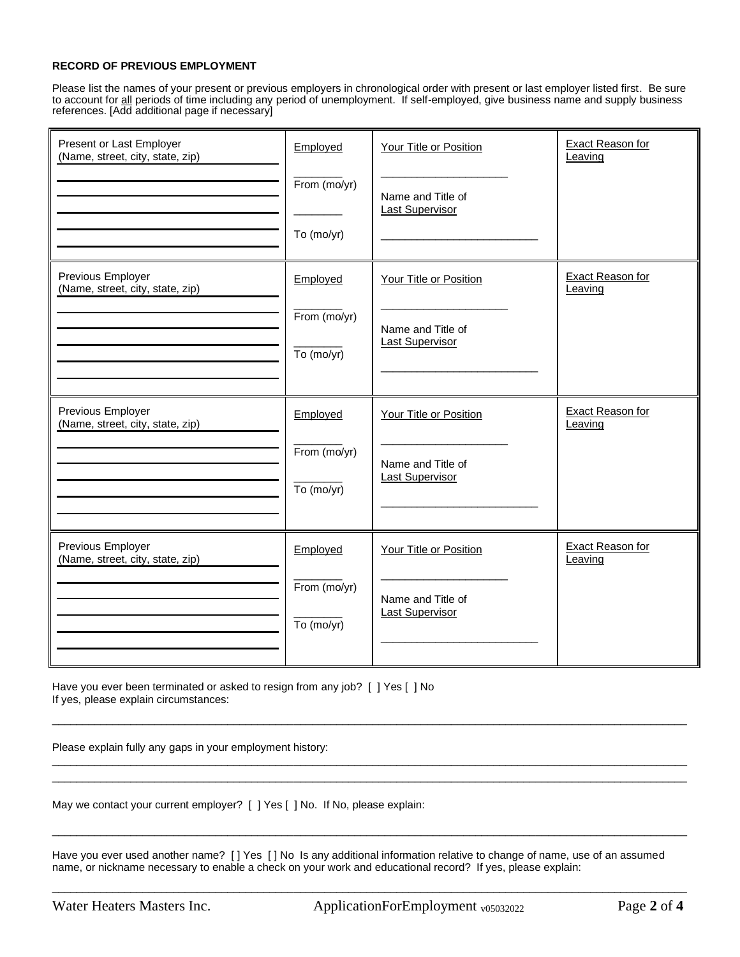#### **RECORD OF PREVIOUS EMPLOYMENT**

Please list the names of your present or previous employers in chronological order with present or last employer listed first. Be sure to account for all periods of time including any period of unemployment. If self-employed, give business name and supply business references. [Add additional page if necessary]

| Present or Last Employer<br>(Name, street, city, state, zip) | Employed<br>From (mo/yr)<br>To (mo/yr) | Your Title or Position<br>Name and Title of<br><b>Last Supervisor</b> | Exact Reason for<br>Leaving        |
|--------------------------------------------------------------|----------------------------------------|-----------------------------------------------------------------------|------------------------------------|
| Previous Employer<br>(Name, street, city, state, zip)        | Employed<br>From (mo/yr)<br>To (mo/yr) | Your Title or Position<br>Name and Title of<br><b>Last Supervisor</b> | <b>Exact Reason for</b><br>Leaving |
| Previous Employer<br>(Name, street, city, state, zip)        | Employed<br>From (mo/yr)<br>To (mo/yr) | Your Title or Position<br>Name and Title of<br><b>Last Supervisor</b> | <b>Exact Reason for</b><br>Leaving |
| Previous Employer<br>(Name, street, city, state, zip)        | Employed<br>From (mo/yr)<br>To (mo/yr) | Your Title or Position<br>Name and Title of<br><b>Last Supervisor</b> | Exact Reason for<br>Leaving        |

Have you ever been terminated or asked to resign from any job? [ ] Yes [ ] No If yes, please explain circumstances:

Please explain fully any gaps in your employment history:

May we contact your current employer? [ ] Yes [ ] No. If No, please explain:

Have you ever used another name? [ ] Yes [ ] No Is any additional information relative to change of name, use of an assumed name, or nickname necessary to enable a check on your work and educational record? If yes, please explain:

\_\_\_\_\_\_\_\_\_\_\_\_\_\_\_\_\_\_\_\_\_\_\_\_\_\_\_\_\_\_\_\_\_\_\_\_\_\_\_\_\_\_\_\_\_\_\_\_\_\_\_\_\_\_\_\_\_\_\_\_\_\_\_\_\_\_\_\_\_\_\_\_\_\_\_\_\_\_\_\_\_\_\_\_\_\_\_\_\_\_\_\_\_\_\_\_\_\_\_\_\_\_\_\_\_

\_\_\_\_\_\_\_\_\_\_\_\_\_\_\_\_\_\_\_\_\_\_\_\_\_\_\_\_\_\_\_\_\_\_\_\_\_\_\_\_\_\_\_\_\_\_\_\_\_\_\_\_\_\_\_\_\_\_\_\_\_\_\_\_\_\_\_\_\_\_\_\_\_\_\_\_\_\_\_\_\_\_\_\_\_\_\_\_\_\_\_\_\_\_\_\_\_\_\_\_\_\_\_\_\_ \_\_\_\_\_\_\_\_\_\_\_\_\_\_\_\_\_\_\_\_\_\_\_\_\_\_\_\_\_\_\_\_\_\_\_\_\_\_\_\_\_\_\_\_\_\_\_\_\_\_\_\_\_\_\_\_\_\_\_\_\_\_\_\_\_\_\_\_\_\_\_\_\_\_\_\_\_\_\_\_\_\_\_\_\_\_\_\_\_\_\_\_\_\_\_\_\_\_\_\_\_\_\_\_\_

\_\_\_\_\_\_\_\_\_\_\_\_\_\_\_\_\_\_\_\_\_\_\_\_\_\_\_\_\_\_\_\_\_\_\_\_\_\_\_\_\_\_\_\_\_\_\_\_\_\_\_\_\_\_\_\_\_\_\_\_\_\_\_\_\_\_\_\_\_\_\_\_\_\_\_\_\_\_\_\_\_\_\_\_\_\_\_\_\_\_\_\_\_\_\_\_\_\_\_\_\_\_\_\_\_

\_\_\_\_\_\_\_\_\_\_\_\_\_\_\_\_\_\_\_\_\_\_\_\_\_\_\_\_\_\_\_\_\_\_\_\_\_\_\_\_\_\_\_\_\_\_\_\_\_\_\_\_\_\_\_\_\_\_\_\_\_\_\_\_\_\_\_\_\_\_\_\_\_\_\_\_\_\_\_\_\_\_\_\_\_\_\_\_\_\_\_\_\_\_\_\_\_\_\_\_\_\_\_\_\_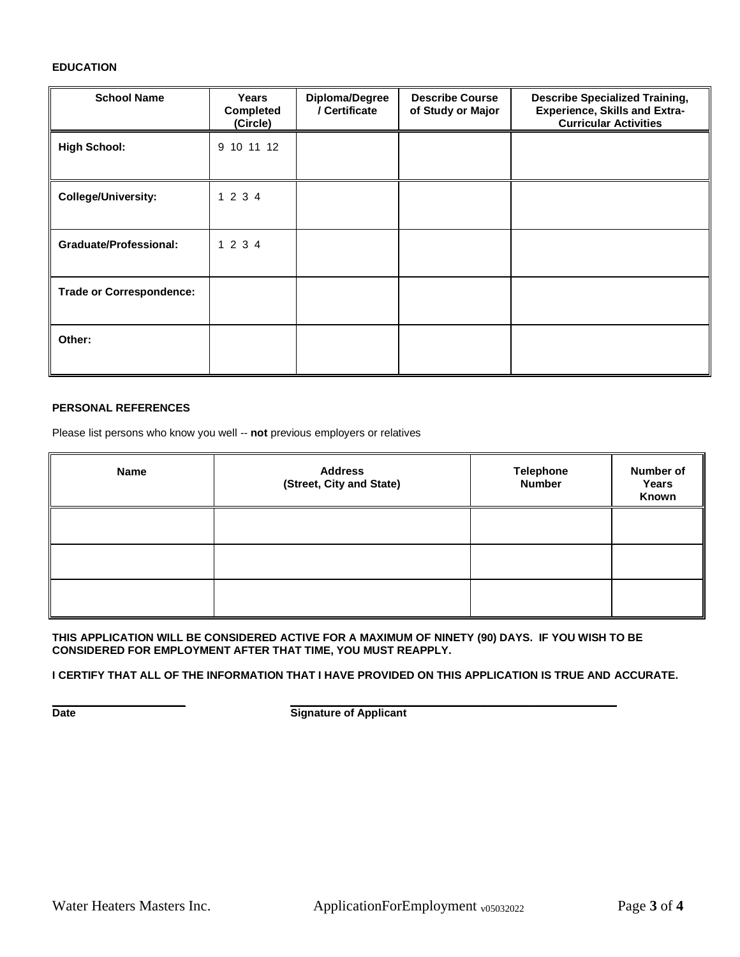#### **EDUCATION**

| <b>School Name</b>              | Years<br><b>Completed</b><br>(Circle) | Diploma/Degree<br>/ Certificate | <b>Describe Course</b><br>of Study or Major | <b>Describe Specialized Training,</b><br><b>Experience, Skills and Extra-</b><br><b>Curricular Activities</b> |
|---------------------------------|---------------------------------------|---------------------------------|---------------------------------------------|---------------------------------------------------------------------------------------------------------------|
| <b>High School:</b>             | 9 10 11 12                            |                                 |                                             |                                                                                                               |
| <b>College/University:</b>      | 1 2 3 4                               |                                 |                                             |                                                                                                               |
| <b>Graduate/Professional:</b>   | 1 2 3 4                               |                                 |                                             |                                                                                                               |
| <b>Trade or Correspondence:</b> |                                       |                                 |                                             |                                                                                                               |
| Other:                          |                                       |                                 |                                             |                                                                                                               |

### **PERSONAL REFERENCES**

Please list persons who know you well -- **not** previous employers or relatives

| Name | <b>Address</b><br>(Street, City and State) | <b>Telephone</b><br><b>Number</b> | Number of<br>Years<br>Known |
|------|--------------------------------------------|-----------------------------------|-----------------------------|
|      |                                            |                                   |                             |
|      |                                            |                                   |                             |
|      |                                            |                                   |                             |

**THIS APPLICATION WILL BE CONSIDERED ACTIVE FOR A MAXIMUM OF NINETY (90) DAYS. IF YOU WISH TO BE CONSIDERED FOR EMPLOYMENT AFTER THAT TIME, YOU MUST REAPPLY.**

**I CERTIFY THAT ALL OF THE INFORMATION THAT I HAVE PROVIDED ON THIS APPLICATION IS TRUE AND ACCURATE.**

**\_\_\_\_\_\_\_\_\_\_\_\_\_\_\_\_\_\_\_\_\_\_ \_\_\_\_\_\_\_\_\_\_\_\_\_\_\_\_\_\_\_\_\_\_\_\_\_\_\_\_\_\_\_\_\_\_\_\_\_\_\_\_\_\_\_\_\_\_\_\_\_\_\_\_\_\_**

**Date Date Signature of Applicant**